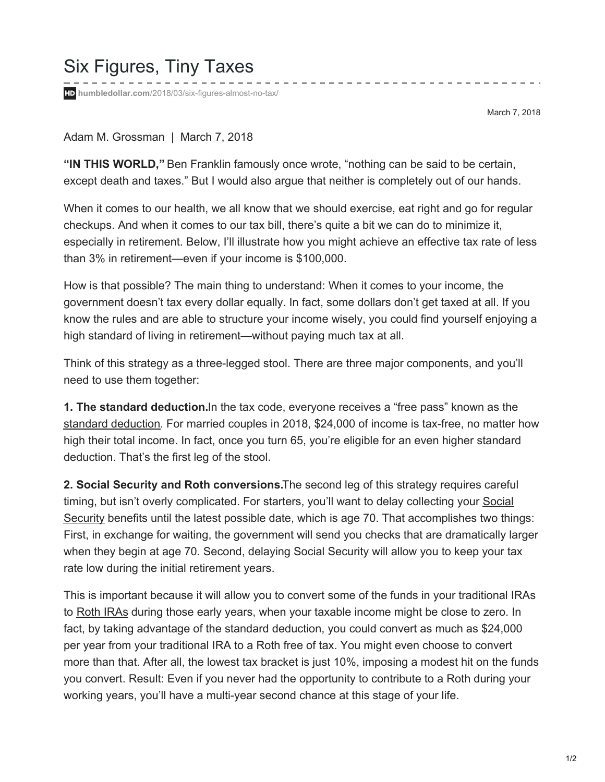## Six Figures, Tiny Taxes

**humbledollar.com**[/2018/03/six-figures-almost-no-tax/](http://www.humbledollar.com/2018/03/six-figures-almost-no-tax/)

March 7, 2018

Adam M. Grossman | March 7, 2018

**"IN THIS WORLD,"** Ben Franklin famously once wrote, "nothing can be said to be certain, except death and taxes." But I would also argue that neither is completely out of our hands.

When it comes to our health, we all know that we should exercise, eat right and go for regular checkups. And when it comes to our tax bill, there's quite a bit we can do to minimize it, especially in retirement. Below, I'll illustrate how you might achieve an effective tax rate of less than 3% in retirement—even if your income is \$100,000.

How is that possible? The main thing to understand: When it comes to your income, the government doesn't tax every dollar equally. In fact, some dollars don't get taxed at all. If you know the rules and are able to structure your income wisely, you could find yourself enjoying a high standard of living in retirement—without paying much tax at all.

Think of this strategy as a three-legged stool. There are three major components, and you'll need to use them together:

**1. The standard deduction.**In the tax code, everyone receives a "free pass" known as the standard [deduction](http://www.humbledollar.com/money-guide/standard-vs-itemized-deductions/). For married couples in 2018, \$24,000 of income is tax-free, no matter how high their total income. In fact, once you turn 65, you're eligible for an even higher standard deduction. That's the first leg of the stool.

**2. Social Security and Roth conversions.**The second leg of this strategy requires careful timing, but isn't overly complicated. For starters, you'll want to delay collecting your Social Security benefits until the latest possible date, which is age 70. That [accomplishes](http://www.humbledollar.com/money-guide/claiming-benefits-early-and-late/) two things: First, in exchange for waiting, the government will send you checks that are dramatically larger when they begin at age 70. Second, delaying Social Security will allow you to keep your tax rate low during the initial retirement years.

This is important because it will allow you to convert some of the funds in your traditional IRAs to [Roth](http://www.humbledollar.com/money-guide/roth-conversions/) IRAs during those early years, when your taxable income might be close to zero. In fact, by taking advantage of the standard deduction, you could convert as much as \$24,000 per year from your traditional IRA to a Roth free of tax. You might even choose to convert more than that. After all, the lowest tax bracket is just 10%, imposing a modest hit on the funds you convert. Result: Even if you never had the opportunity to contribute to a Roth during your working years, you'll have a multi-year second chance at this stage of your life.